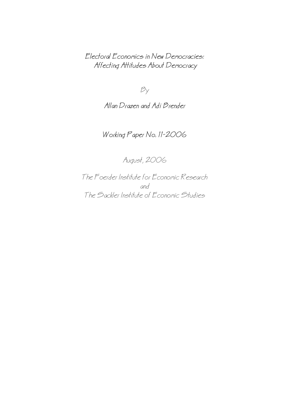Electoral Economics in New Democracies: Affecting Attitudes About Democracy

 $B_y$ 

Allan Drazen and Adi Brender

# Working Paper No. 11−2006

August, 2006

The Foerder Institute for Economic Research and The Sackler Institute of Economic Studies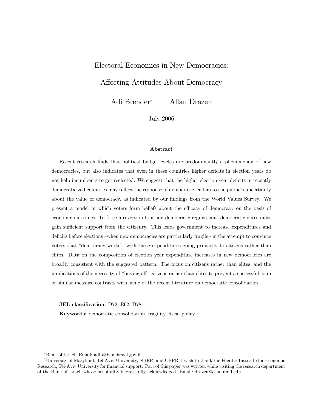## Electoral Economics in New Democracies:

## Affecting Attitudes About Democracy

Adi Brender<sup>∗</sup> Allan Drazen†

July 2006

#### Abstract

Recent research finds that political budget cycles are predominantly a phenomenon of new democracies, but also indicates that even in these countries higher deficits in election years do not help incumbents to get reelected. We suggest that the higher election year deficits in recently democraticized countries may reflect the response of democratic leaders to the public's uncertainty about the value of democracy, as indicated by our findings from the World Values Survey. We present a model in which voters form beliefs about the efficacy of democracy on the basis of economic outcomes. To force a reversion to a non-democratic regime, anti-democratic elites must gain sufficient support from the citizenry. This leads government to increase expenditures and deficits before elections —when new democracies are particularly fragile - in the attempt to convince voters that "democracy works", with these expenditures going primarily to citizens rather than elites. Data on the composition of election year expenditure increases in new democracies are broadly consistent with the suggested pattern. The focus on citizens rather than elites, and the implications of the necessity of "buying off" citizens rather than elites to prevent a successful coup or similar measure contrasts with some of the recent literature on democratic consolidation.

JEL classification: D72, E62, D78

Keywords: democratic consolidation, fragility, fiscal policy

<sup>∗</sup>Bank of Israel. Email: adib@bankisrael.gov.il

<sup>†</sup>University of Maryland, Tel Aviv University, NBER, and CEPR. I wish to thank the Foerder Institute for Economic Research, Tel-Aviv University for financial support. Part of this paper was written while visiting the research department of the Bank of Israel, whose hospitality is gratefully acknowledged. Email: drazen@econ.umd.edu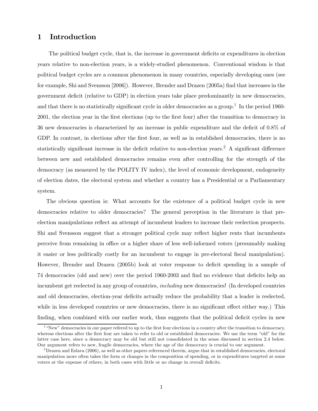## 1 Introduction

The political budget cycle, that is, the increase in government deficits or expenditures in election years relative to non-election years, is a widely-studied phenomenon. Conventional wisdom is that political budget cycles are a common phenomenon in many countries, especially developing ones (see for example, Shi and Svensson [2006]). However, Brender and Drazen (2005a) find that increases in the government deficit (relative to GDP) in election years take place predominantly in new democracies, and that there is no statistically significant cycle in older democracies as a group.<sup>1</sup> In the period 1960-2001, the election year in the first elections (up to the first four) after the transition to democracy in 36 new democracies is characterized by an increase in public expenditure and the deficit of 0.8% of GDP. In contrast, in elections after the first four, as well as in established democracies, there is no statistically significant increase in the deficit relative to non-election years.2 A significant difference between new and established democracies remains even after controlling for the strength of the democracy (as measured by the POLITY IV index), the level of economic development, endogeneity of election dates, the electoral system and whether a country has a Presidential or a Parliamentary system.

The obvious question is: What accounts for the existence of a political budget cycle in new democracies relative to older democracies? The general perception in the literature is that preelection manipulations reflect an attempt of incumbent leaders to increase their reelection prospects. Shi and Svensson suggest that a stronger political cycle may reflect higher rents that incumbents perceive from remaining in office or a higher share of less well-informed voters (presumably making it easier or less politically costly for an incumbent to engage in pre-electoral fiscal manipulation). However, Brender and Drazen (2005b) look at voter response to deficit spending in a sample of 74 democracies (old and new) over the period 1960-2003 and find no evidence that deficits help an incumbent get reelected in any group of countries, including new democracies! (In developed countries and old democracies, election-year deficits actually reduce the probability that a leader is reelected, while in less developed countries or new democracies, there is no significant effect either way.) This finding, when combined with our earlier work, thus suggests that the political deficit cycles in new

<sup>&</sup>lt;sup>1</sup> "New" democracies in our paper refered to up to the first four elections in a country after the transition to democracy, whereas elections after the first four are taken to refer to old or established democracies. We use the term "old" for the latter case here, since a democracy may be old but still not consolidated in the sense discussed in section 2.4 below. Our argument refers to new, fragile democracies, where the age of the democracy is crucial to our argument.

<sup>2</sup>Drazen and Eslava (2006), as well as other papers referenced therein, argue that in established democracies, electoral manipulation more often takes the form or changes in the composition of spending, or in expenditures targeted at some voters at the expense of others, in both cases with little or no change in overall deficits.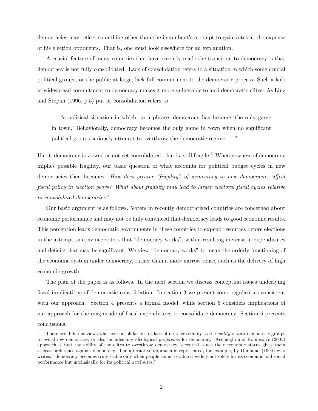democracies may reflect something other than the incumbent's attempt to gain votes at the expense of his election opponents. That is, one must look elsewhere for an explanation.

A crucial feature of many countries that have recently made the transition to democracy is that democracy is not fully consolidated. Lack of consolidation refers to a situation in which some crucial political groups, or the public at large, lack full commitment to the democratic process. Such a lack of widespread commitment to democracy makes it more vulnerable to anti-democratic elites. As Linz and Stepan (1996, p.5) put it, consolidation refers to

"a political situation in which, in a phrase, democracy has become 'the only game in town.' Behaviorally, democracy becomes the only game in town when no significant political groups seriously attempt to overthrow the democratic regime . . . "

If not, democracy is viewed as not yet consolidated, that is, still fragile.<sup>3</sup> When newness of democracy implies possible fragility, our basic question of what accounts for political budget cycles in new democracies then becomes: How does greater "fragility" of democracy in new democracies affect fiscal policy in election years? What about fragility may lead to larger electoral fiscal cycles relative to consolidated democracies?

Our basic argument is as follows. Voters in recently democratized countries are concerned about economic performance and may not be fully convinced that democracy leads to good economic results. This perception leads democratic governments in these countries to expend resources before elections in the attempt to convince voters that "democracy works", with a resulting increase in expenditures and deficits that may be significant. We view "democracy works" to mean the orderly functioning of the economic system under democracy, rather than a more narrow sense, such as the delivery of high economic growth.

The plan of the paper is as follows. In the next section we discuss conceptual issues underlying fiscal implications of democratic consolidation. In section 3 we present some regularities consistent with our approach. Section 4 presents a formal model, while section 5 considers implications of our approach for the magnitude of fiscal expenditures to consolidate democracy. Section 6 presents conclusions.

 $3$ There are different views whether consolidation (or lack of it) refers simply to the *ability* of anti-democratic groups to overthrow democracy, or also includes any ideological preference for democracy. Acemoglu and Robinson's (2005) approach is that the ability of the elites to overthrow democracy is central, since their economic status gives them a clear preference against democracy. The alternative approach is represented, for example, by Diamond (1994) who writes: "democracy becomes truly stable only when people come to value it widely not solely for its economic and social performance but intrinsically for its political attributes."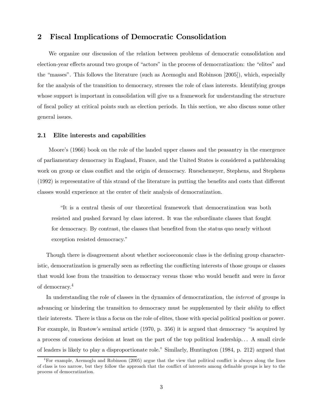## 2 Fiscal Implications of Democratic Consolidation

We organize our discussion of the relation between problems of democratic consolidation and election-year effects around two groups of "actors" in the process of democratization: the "elites" and the "masses". This follows the literature (such as Acemoglu and Robinson [2005]), which, especially for the analysis of the transition to democracy, stresses the role of class interests. Identifying groups whose support is important in consolidation will give us a framework for understanding the structure of fiscal policy at critical points such as election periods. In this section, we also discuss some other general issues.

### 2.1 Elite interests and capabilities

Moore's (1966) book on the role of the landed upper classes and the peasantry in the emergence of parliamentary democracy in England, France, and the United States is considered a pathbreaking work on group or class conflict and the origin of democracy. Rueschemeyer, Stephens, and Stephens (1992) is representative of this strand of the literature in putting the benefits and costs that different classes would experience at the center of their analysis of democratization.

"It is a central thesis of our theoretical framework that democratization was both resisted and pushed forward by class interest. It was the subordinate classes that fought for democracy. By contrast, the classes that benefited from the status quo nearly without exception resisted democracy."

Though there is disagreement about whether socioeconomic class is the defining group characteristic, democratization is generally seen as reflecting the conflicting interests of those groups or classes that would lose from the transition to democracy versus those who would benefit and were in favor of democracy.4

In understanding the role of classes in the dynamics of democratization, the interest of groups in advancing or hindering the transition to democracy must be supplemented by their ability to effect their interests. There is thus a focus on the role of elites, those with special political position or power. For example, in Rustow's seminal article (1970, p. 356) it is argued that democracy "is acquired by a process of conscious decision at least on the part of the top political leadership. . . A small circle of leaders is likely to play a disproportionate role." Similarly, Huntington (1984, p. 212) argued that

<sup>4</sup>For example, Acemoglu and Robinson (2005) argue that the view that political conflict is always along the lines of class is too narrow, but they follow the approach that the conflict of interests among definable groups is key to the process of democratization.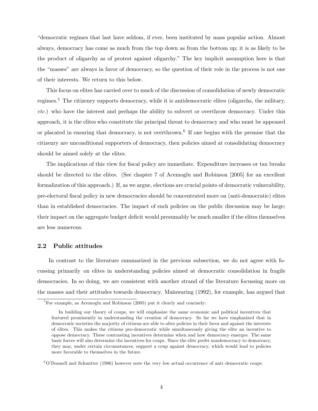"democratic regimes that last have seldom, if ever, been instituted by mass popular action. Almost always, democracy has come as much from the top down as from the bottom up; it is as likely to be the product of oligarchy as of protest against oligarchy." The key implicit assumption here is that the "masses" are always in favor of democracy, so the question of their role in the process is not one of their interests. We return to this below.

This focus on elites has carried over to much of the discussion of consolidation of newly democratic regimes.<sup>5</sup> The citizenry supports democracy, while it is antidemocratic elites (oligarchs, the military, etc.) who have the interest and perhaps the ability to subvert or overthrow democracy. Under this approach, it is the elites who constitute the principal threat to democracy and who must be appeased or placated in ensuring that democracy, is not overthrown.<sup>6</sup> If one begins with the premise that the citizenry are unconditional supporters of democracy, then policies aimed at consolidating democracy should be aimed solely at the elites.

The implications of this view for fiscal policy are immediate. Expenditure increases or tax breaks should be directed to the elites. (See chapter 7 of Acemoglu and Robinson [2005] for an excellent formalization of this approach.) If, as we argue, elections are crucial points of democratic vulnerability, pre-electoral fiscal policy in new democracies should be concentrated more on (anti-democratic) elites than in established democracies. The impact of such policies on the public discussion may be large; their impact on the aggregate budget deficit would presumably be much smaller if the elites themselves are less numerous.

### 2.2 Public attitudes

In contrast to the literature summarized in the previous subsection, we do not agree with focussing primarily on elites in understanding policies aimed at democratic consolidation in fragile democracies. In so doing, we are consistent with another strand of the literature focussing more on the masses and their attitudes towards democracy. Mainwaring (1992), for example, has argued that

 ${}^{5}$ For example, as Acemoglu and Robinson (2005) put it clearly and concisely:

In building our theory of coups, we will emphasize the same economic and political incentives that featured prominently in understanding the creation of democracy. So far we have emphasized that in democratic societies the majority of citizens are able to alter policies in their favor and against the interests of elites. This makes the citizens pro-democratic while simultaneously giving the elite an incentive to oppose democracy. These contrasting incentives determine when and how democracy emerges. The same basic forces will also determine the incentives for coups. Since the elite prefer nondemocracy to democracy, they may, under certain circumstances, support a coup against democracy, which would lead to policies more favorable to themselves in the future.

 $6$ O'Donnell and Schmitter (1986) however note the very low actual occurrence of anti-democratic coups.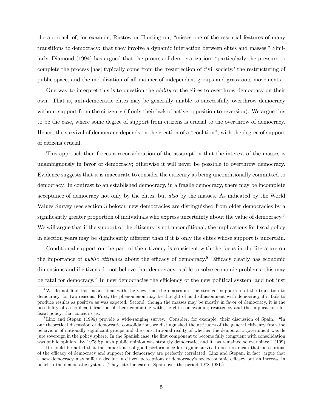the approach of, for example, Rustow or Huntington, "misses one of the essential features of many transitions to democracy: that they involve a dynamic interaction between elites and masses." Similarly, Diamond (1994) has argued that the process of democratization, "particularly the pressure to complete the process [has] typically come from the 'resurrection of civil society,' the restructuring of public space, and the mobilization of all manner of independent groups and grassroots movements."

One way to interpret this is to question the ability of the elites to overthrow democracy on their own. That is, anti-democratic elites may be generally unable to successfully overthrow democracy without support from the citizenry (if only their lack of active opposition to reversion). We argue this to be the case, where some degree of support from citizens is crucial to the overthrow of democracy. Hence, the survival of democracy depends on the creation of a "coalition", with the degree of support of citizens crucial.

This approach then forces a reconsideration of the assumption that the interest of the masses is unambiguously in favor of democracy; otherwise it will never be possible to overthrow democracy. Evidence suggests that it is inaccurate to consider the citizenry as being unconditionally committed to democracy. In contrast to an established democracy, in a fragile democracy, there may be incomplete acceptance of democracy not only by the elites, but also by the masses. As indicated by the World Values Survey (see section 3 below), new democracies are distinguished from older democracies by a significantly greater proportion of individuals who express uncertainty about the value of democracy.<sup>7</sup> We will argue that if the support of the citizenry is not unconditional, the implications for fiscal policy in election years may be significantly different than if it is only the elites whose support is uncertain.

Conditional support on the part of the citizenry is consistent with the focus in the literature on the importance of *public attitudes* about the efficacy of democracy.<sup>8</sup> Efficacy clearly has economic dimensions and if citizens do not believe that democracy is able to solve economic problems, this may be fatal for democracy.<sup>9</sup> In new democracies the efficiency of the new political system, and not just

<sup>&</sup>lt;sup>7</sup>We do not find this inconsistent with the view that the masses are the stronger supporters of the transition to democracy, for two reasons. First, the phenomenon may be thought of as disillusionment with democracy if it fails to produce results as positive as was expeted. Second, though the masses may be mostly in favor of democracy, it is the possibility of a significant fraction of them combining with the elites or avoiding resistence, and the implications for fiscal policy, that concerns us.

<sup>8</sup>Linz and Stepan (1996) provide a wide-ranging survey. Consider, for example, their discussion of Spain. "In our theoretical discussion of democratic consolidation, we distinguished the attitudes of the general citizenry from the behaviour of nationally significant groups and the constitutional reality of whether the democratic government was de jure sovereign in the policy sphere. In the Spanish case, the first component to become fully congruent with consolidation was public opinion. By 1978 Spanish public opinion was strongly democratic, and it has remained so ever since." (109)

<sup>9</sup> It should be noted that the importance of good performance for regime survival does not mean that perceptions of the efficacy of democracy and support for democracy are perfectly correlated. Linz and Stepan, in fact, argue that a new democracy may suffer a decline in citizen perceptions of democracy's socioeconomic efficacy but an increase in belief in the democratic system. (They cite the case of Spain over the period 1978-1981.)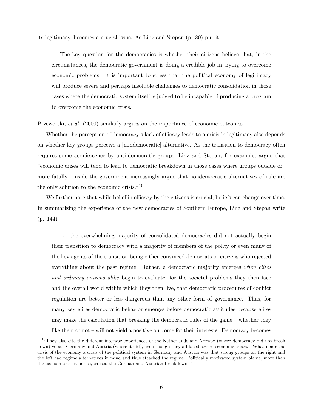its legitimacy, becomes a crucial issue. As Linz and Stepan (p. 80) put it

The key question for the democracies is whether their citizens believe that, in the circumstances, the democratic government is doing a credible job in trying to overcome economic problems. It is important to stress that the political economy of legitimacy will produce severe and perhaps insoluble challenges to democratic consolidation in those cases where the democratic system itself is judged to be incapable of producing a program to overcome the economic crisis.

Przeworski, et al. (2000) similarly argues on the importance of economic outcomes.

Whether the perception of democracy's lack of efficacy leads to a crisis in legitimacy also depends on whether key groups perceive a [nondemocratic] alternative. As the transition to democracy often requires some acquiescence by anti-democratic groups, Linz and Stepan, for example, argue that "economic crises will tend to lead to democratic breakdown in those cases where groups outside or more fatally–inside the government increasingly argue that nondemocratic alternatives of rule are the only solution to the economic crisis."<sup>10</sup>

We further note that while belief in efficacy by the citizens is crucial, beliefs can change over time. In summarizing the experience of the new democracies of Southern Europe, Linz and Stepan write (p. 144)

. . . the overwhelming majority of consolidated democracies did not actually begin their transition to democracy with a majority of members of the polity or even many of the key agents of the transition being either convinced democrats or citizens who rejected everything about the past regime. Rather, a democratic majority emerges when elites and ordinary citizens alike begin to evaluate, for the societal problems they then face and the overall world within which they then live, that democratic procedures of conflict regulation are better or less dangerous than any other form of governance. Thus, for many key elites democratic behavior emerges before democratic attitudes because elites may make the calculation that breaking the democratic rules of the game — whether they like them or not — will not yield a positive outcome for their interests. Democracy becomes

 $10$ They also cite the different interwar experiences of the Netherlands and Norway (where democracy did not break down) versus Germany and Austria (where it did), even though they all faced severe economic crises. "What made the crisis of the economy a crisis of the political system in Germany and Austria was that strong groups on the right and the left had regime alternatives in mind and thus attacked the regime. Politically motivated system blame, more than the economic crisis per se, caused the German and Austrian breakdowns."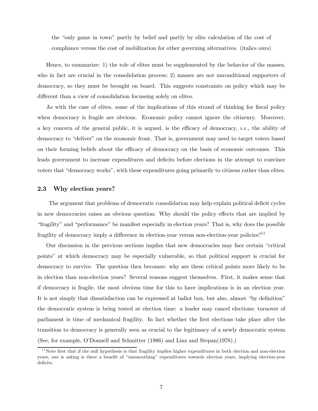the "only game in town" partly by belief and partly by elite calculation of the cost of compliance versus the cost of mobilization for other governing alternatives. (italics ours)

Hence, to summarize: 1) the role of elites must be supplemented by the behavior of the masses, who in fact are crucial in the consolidation process; 2) masses are not unconditional supporters of democracy, so they must be brought on board. This suggests constraints on policy which may be different than a view of consolidation focussing solely on elites.

As with the case of elites, some of the implications of this strand of thinking for fiscal policy when democracy is fragile are obvious. Economic policy cannot ignore the citizenry. Moreover, a key concern of the general public, it is argued, is the efficacy of democracy, i.e., the ability of democracy to "deliver" on the economic front. That is, government may need to target voters based on their forming beliefs about the efficacy of democracy on the basis of economic outcomes. This leads government to increase expenditures and deficits before elections in the attempt to convince voters that "democracy works", with these expenditures going primarily to citizens rather than elites.

#### 2.3 Why election years?

The argument that problems of democratic consolidation may help explain political deficit cycles in new democracies raises an obvious question: Why should the policy effects that are implied by "fragility" and "performance" be manifest especially in election years? That is, why does the possible fragility of democracy imply a difference in election-year versus non-election-year policies?<sup>11</sup>

Our discussion in the previous sections implies that new democracies may face certain "critical points" at which democracy may be especially vulnerable, so that political support is crucial for democracy to survive. The question then becomes: why are these critical points more likely to be in election than non-election years? Several reasons suggest themselves. First, it makes sense that if democracy is fragile, the most obvious time for this to have implications is in an election year. It is not simply that dissatisfaction can be expressed at ballot box, but also, almost "by definition" the democratic system is being tested at election time: a leader may cancel elections; turnover of parliament is time of mechanical fragility. In fact whether the first elections take place after the transition to democracy is generally seen as crucial to the legitimacy of a newly democratic system (See, for example, O'Donnell and Schmitter (1986) and Linz and Stepan(1978).)

 $11$ Note first that if the null hypothesis is that fragility implies higher expenditures in both election and non-election years, one is asking is there a benefit of "unsmoothing" expenditures towards election years, implying election-year deficits.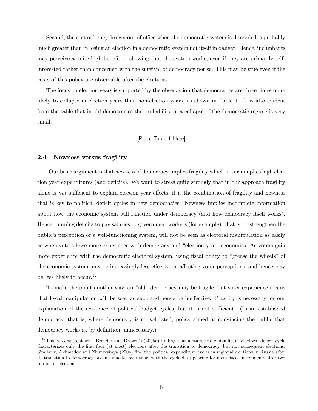Second, the cost of being thrown out of office when the democratic system is discarded is probably much greater than in losing an election in a democratic system not itself in danger. Hence, incumbents may perceive a quite high benefit to showing that the system works, even if they are primarily selfinterested rather than concerned with the survival of democracy per se. This may be true even if the costs of this policy are observable after the elections.

The focus on election years is supported by the observation that democracies are three times more likely to collapse in election years than non-election years, as shown in Table 1. It is also evident from the table that in old democracies the probability of a collapse of the democratic regime is very small.

### [Place Table 1 Here]

#### 2.4 Newness versus fragility

Our basic argument is that newness of democracy implies fragility which in turn implies high election year expenditures (and deficits). We want to stress quite strongly that in our approach fragility alone is not sufficient to explain election-year effects; it is the combination of fragility and newness that is key to political deficit cycles in new democracies. Newness implies incomplete information about how the economic system will function under democracy (and how democracy itself works). Hence, running deficits to pay salaries to government workers (for example), that is, to strengthen the public's perception of a well-functioning system, will not be seen as electoral manipulation as easily as when voters have more experience with democracy and "election-year" economics. As voters gain more experience with the democratic electoral system, using fiscal policy to "grease the wheels" of the economic system may be increasingly less effective in affecting voter perceptions, and hence may be less likely to occur.<sup>12</sup>

To make the point another way, an "old" democracy may be fragile, but voter experience means that fiscal manipulation will be seen as such and hence be ineffective. Fragility is necessary for our explanation of the existence of political budget cycles, but it is not sufficient. (In an established democracy, that is, where democracy is consolidated, policy aimed at convincing the public that democracy works is, by definition, unnecessary.)

 $12$ This is consistent with Brender and Drazen's (2005a) finding that a statistically significant electoral deficit cycle characterizes only the first four (at most) elections after the transition to democracy, but not subsequent elections. Similarly, Akhmedov and Zhuravskaya (2004) find the political expenditure cycles in regional elections in Russia after its transition to democracy become smaller over time, with the cycle disappearing for most fiscal instruments after two rounds of elections.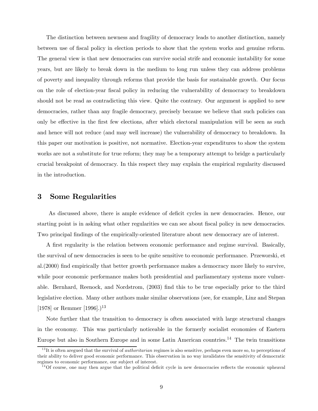The distinction between newness and fragility of democracy leads to another distinction, namely between use of fiscal policy in election periods to show that the system works and genuine reform. The general view is that new democracies can survive social strife and economic instability for some years, but are likely to break down in the medium to long run unless they can address problems of poverty and inequality through reforms that provide the basis for sustainable growth. Our focus on the role of election-year fiscal policy in reducing the vulnerability of democracy to breakdown should not be read as contradicting this view. Quite the contrary. Our argument is applied to new democracies, rather than any fragile democracy, precisely because we believe that such policies can only be effective in the first few elections, after which electoral manipulation will be seen as such and hence will not reduce (and may well increase) the vulnerability of democracy to breakdown. In this paper our motivation is positive, not normative. Election-year expenditures to show the system works are not a substitute for true reform; they may be a temporary attempt to bridge a particularly crucial breakpoint of democracy. In this respect they may explain the empirical regularity discussed in the introduction.

## 3 Some Regularities

As discussed above, there is ample evidence of deficit cycles in new democracies. Hence, our starting point is in asking what other regularities we can see about fiscal policy in new democracies. Two principal findings of the empirically-oriented literature about new democracy are of interest.

A first regularity is the relation between economic performance and regime survival. Basically, the survival of new democracies is seen to be quite sensitive to economic performance. Przeworski, et al.(2000) find empirically that better growth performance makes a democracy more likely to survive, while poor economic performance makes both presidential and parliamentary systems more vulnerable. Bernhard, Reenock, and Nordstrom, (2003) find this to be true especially prior to the third legislative election. Many other authors make similar observations (see, for example, Linz and Stepan [1978] or Remmer [1996].)<sup>13</sup>

Note further that the transition to democracy is often associated with large structural changes in the economy. This was particularly noticeable in the formerly socialist economies of Eastern Europe but also in Southern Europe and in some Latin American countries.<sup>14</sup> The twin transitions

 $13$ It is often aregued that the survival of *authoritarian* regimes is also sensitive, perhaps even more so, to perceptions of their ability to deliver good economic performance. This observation in no way invalidates the sensitivity of democratic regimes to economic performance, our subject of interest.

 $14$ Of course, one may then argue that the political deficit cycle in new democracies reflects the economic upheaval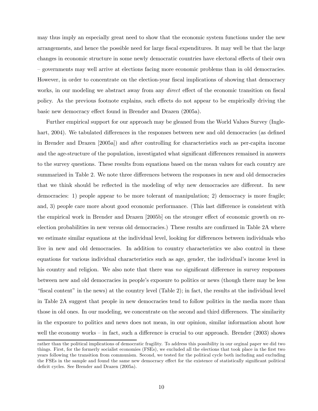may thus imply an especially great need to show that the economic system functions under the new arrangements, and hence the possible need for large fiscal expenditures. It may well be that the large changes in economic structure in some newly democratic countries have electoral effects of their own — governments may well arrive at elections facing more economic problems than in old democracies. However, in order to concentrate on the election-year fiscal implications of showing that democracy works, in our modeling we abstract away from any *direct* effect of the economic transition on fiscal policy. As the previous footnote explains, such effects do not appear to be empirically driving the basic new democracy effect found in Brender and Drazen (2005a).

Further empirical support for our approach may be gleaned from the World Values Survey (Inglehart, 2004). We tabulated differences in the responses between new and old democracies (as defined in Brender and Drazen [2005a]) and after controlling for characteristics such as per-capita income and the age-structure of the population, investigated what significant differences remained in answers to the survey questions. These results from equations based on the mean values for each country are summarized in Table 2. We note three differences between the responses in new and old democracies that we think should be reflected in the modeling of why new democracies are different. In new democracies: 1) people appear to be more tolerant of manipulation; 2) democracy is more fragile; and, 3) people care more about good economic performance. (This last difference is consistent with the empirical work in Brender and Drazen [2005b] on the stronger effect of economic growth on reelection probabilities in new versus old democracies.) These results are confirmed in Table 2A where we estimate similar equations at the individual level, looking for differences between individuals who live in new and old democracies. In addition to country characteristics we also control in these equations for various individual characteristics such as age, gender, the individual's income level in his country and religion. We also note that there was no significant difference in survey responses between new and old democracies in people's exposure to politics or news (though there may be less "fiscal content" in the news) at the country level (Table 2); in fact, the results at the individual level in Table 2A suggest that people in new democracies tend to follow politics in the media more than those in old ones. In our modeling, we concentrate on the second and third differences. The similarity in the exposure to politics and news does not mean, in our opinion, similar information about how well the economy works – in fact, such a difference is crucial to our approach. Brender (2003) shows

rather than the political implications of democratic fragility. To address this possibility in our orginal paper we did two things. First, for the formerly socialist economies (FSEs), we excluded all the elections that took place in the first two years following the transition from communism. Second, we tested for the political cycle both including and excluding the FSEs in the sample and found the same new democracy effect for the existence of statistically significant political deficit cycles. See Brender and Drazen (2005a).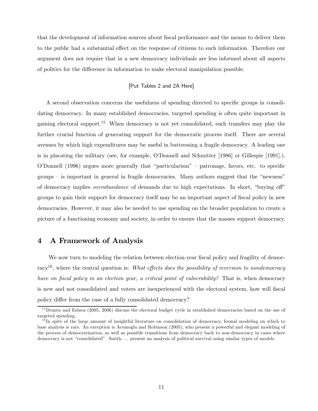that the development of information sources about fiscal performance and the means to deliver them to the public had a substantial effect on the response of citizens to such information. Therefore our argument does not require that in a new democracy individuals are less informed about all aspects of politics for the difference in information to make electoral manipulation possible.

## [Put Tables 2 and 2A Here]

A second observation concerns the usefulness of spending directed to specific groups in consolidating democracy. In many established democracies, targeted spending is often quite important in gaining electoral support.<sup>15</sup> When democracy is not yet consolidated, such transfers may play the further crucial function of generating support for the democratic process itself. There are several avenues by which high expenditures may be useful in buttressing a fragile democracy. A leading one is in placating the military (see, for example, O'Donnell and Schmitter [1986] or Gillespie [1991].). O'Donnell (1996) argues more generally that "particularism" — patronage, favors, etc. to specific groups — is important in general in fragile democracies. Many authors suggest that the "newness" of democracy implies overabundance of demands due to high expectations. In short, "buying off" groups to gain their support for democracy itself may be an important aspect of fiscal policy in new democracies. However, it may also be needed to use spending on the broader population to create a picture of a functioning economy and society, in order to ensure that the masses support democracy.

## 4 A Framework of Analysis

We now turn to modeling the relation between election-year fiscal policy and fragility of democracy<sup>16</sup>, where the central question is: What effects does the possibility of reversion to nondemocracy have on fiscal policy in an election year, a critical point of vulnerability? That is, when democracy is new and not consolidated and voters are inexperienced with the electoral system, how will fiscal policy differ from the case of a fully consolidated democracy?

 $^{15}$ Drazen and Eslava (2005, 2006) discuss the electoral budget cycle in established democracies based on the use of targeted spending.

 $16$  In spite of the large amount of insightful literature on consolidation of democracy, formal modeling on which to base analysis is rare. An exception is Acemoglu and Robinson (2005), who present a powerful and elegant modeling of the process of democratization, as well as possible transitions from democracy back to non-democracy in cases where democracy is not "consolidated". Smith, ... present an analysis of political survival using similar types of models.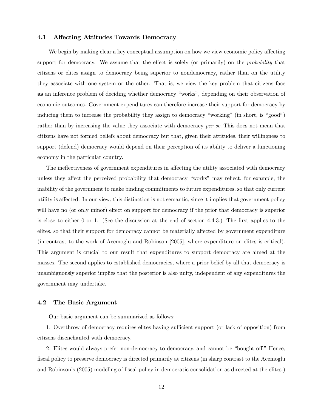### 4.1 Affecting Attitudes Towards Democracy

We begin by making clear a key conceptual assumption on how we view economic policy affecting support for democracy. We assume that the effect is solely (or primarily) on the *probability* that citizens or elites assign to democracy being superior to nondemocracy, rather than on the utility they associate with one system or the other. That is, we view the key problem that citizens face as an inference problem of deciding whether democracy "works", depending on their observation of economic outcomes. Government expenditures can therefore increase their support for democracy by inducing them to increase the probability they assign to democracy "working" (in short, is "good") rather than by increasing the value they associate with democracy per se. This does not mean that citizens have not formed beliefs about democracy but that, given their attitudes, their willingness to support (defend) democracy would depend on their perception of its ability to deliver a functioning economy in the particular country.

The ineffectiveness of government expenditures in affecting the utility associated with democracy unless they affect the perceived probability that democracy "works" may reflect, for example, the inability of the government to make binding commitments to future expenditures, so that only current utility is affected. In our view, this distinction is not semantic, since it implies that government policy will have no (or only minor) effect on support for democracy if the prior that democracy is superior is close to either 0 or 1. (See the discussion at the end of section 4.4.3.) The first applies to the elites, so that their support for democracy cannot be materially affected by government expenditure (in contrast to the work of Acemoglu and Robinson [2005], where expenditure on elites is critical). This argument is crucial to our result that expenditures to support democracy are aimed at the masses. The second applies to established democracies, where a prior belief by all that democracy is unambiguously superior implies that the posterior is also unity, independent of any expenditures the government may undertake.

### 4.2 The Basic Argument

Our basic argument can be summarized as follows:

1. Overthrow of democracy requires elites having sufficient support (or lack of opposition) from citizens disenchanted with democracy.

2. Elites would always prefer non-democracy to democracy, and cannot be "bought off." Hence, fiscal policy to preserve democracy is directed primarily at citizens (in sharp contrast to the Acemoglu and Robinson's (2005) modeling of fiscal policy in democratic consolidation as directed at the elites.)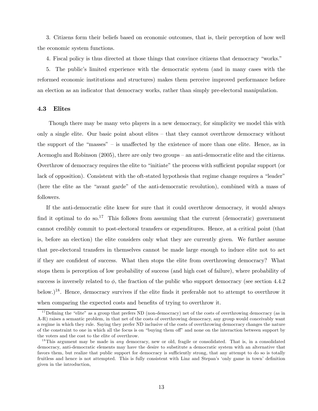3. Citizens form their beliefs based on economic outcomes, that is, their perception of how well the economic system functions.

4. Fiscal policy is thus directed at those things that convince citizens that democracy "works."

5. The public's limited experience with the democratic system (and in many cases with the reformed economic institutions and structures) makes them perceive improved performance before an election as an indicator that democracy works, rather than simply pre-electoral manipulation.

#### 4.3 Elites

Though there may be many veto players in a new democracy, for simplicity we model this with only a single elite. Our basic point about elites — that they cannot overthrow democracy without the support of the "masses" — is unaffected by the existence of more than one elite. Hence, as in Acemoglu and Robinson (2005), there are only two groups — an anti-democratic elite and the citizens. Overthrow of democracy requires the elite to "initiate" the process with sufficient popular support (or lack of opposition). Consistent with the oft-stated hypothesis that regime change requires a "leader" (here the elite as the "avant garde" of the anti-democratic revolution), combined with a mass of followers.

If the anti-democratic elite knew for sure that it could overthrow democracy, it would always find it optimal to do so.<sup>17</sup> This follows from assuming that the current (democratic) government cannot credibly commit to post-electoral transfers or expenditures. Hence, at a critical point (that is, before an election) the elite considers only what they are currently given. We further assume that pre-electoral transfers in themselves cannot be made large enough to induce elite not to act if they are confident of success. What then stops the elite from overthrowing democracy? What stops them is perception of low probability of success (and high cost of failure), where probability of success is inversely related to  $\phi$ , the fraction of the public who support democracy (see section 4.4.2) below.)<sup>18</sup>. Hence, democracy survives if the elite finds it preferable not to attempt to overthrow it when comparing the expected costs and benefits of trying to overthrow it.

<sup>&</sup>lt;sup>17</sup>Defining the "elite" as a group that prefers ND (non-democracy) net of the costs of overthrowing democracy (as in A-R) raises a semantic problem, in that net of the costs of overthrowing democracy, any group would conceivably want a regime in which they rule. Saying they prefer ND inclusive of the costs of overthrowing democracy changes the nature of the constraint to one in which all the focus is on "buying them off" and none on the interaction between support by the voters and the cost to the elite of overthrow.

<sup>&</sup>lt;sup>18</sup>This argument may be made in *any* democracy, new or old, fragile or consolidated. That is, in a consolidated democracy, anti-democratic elements may have the desire to substitute a democratic system with an alternative that favors them, but realize that public support for democracy is sufficiently strong, that any attempt to do so is totally fruitless and hence is not attempted. This is fully consistent with Linz and Stepan's 'only game in town' definition given in the introduction,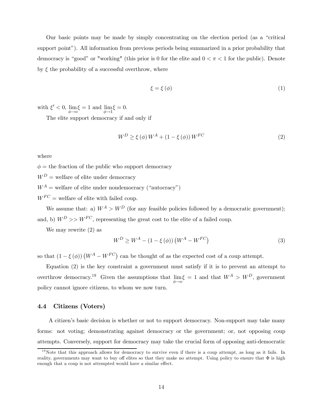Our basic points may be made by simply concentrating on the election period (as a "critical support point"). All information from previous periods being summarized in a prior probability that democracy is "good" or "working" (this prior is 0 for the elite and  $0 < \pi < 1$  for the public). Denote by  $\xi$  the probability of a successful overthrow, where

$$
\xi = \xi \left( \phi \right) \tag{1}
$$

with  $\xi' < 0$ , lim  $\phi \rightarrow o$  $\xi = 1$  and lim  $\phi \rightarrow 1$  $\xi = 0.$ 

The elite support democracy if and only if

$$
W^{D} \ge \xi\left(\phi\right)W^{A} + \left(1 - \xi\left(\phi\right)\right)W^{FC}
$$
\n<sup>(2)</sup>

where

 $\phi =$  the fraction of the public who support democracy

 $W^D$  = welfare of elite under democracy

 $W^A$  = welfare of elite under nondemocracy ("autocracy")

 $W^{FC}$  = welfare of elite with failed coup.

We assume that: a)  $W^A > W^D$  (for any feasible policies followed by a democratic government); and, b)  $W^D >> W^{FC}$ , representing the great cost to the elite of a failed coup.

We may rewrite (2) as

$$
W^{D} \ge W^{A} - (1 - \xi(\phi)) \left( W^{A} - W^{FC} \right)
$$
\n
$$
(3)
$$

so that  $(1 - \xi(\phi)) (W^A - W^{FC})$  can be thought of as the expected cost of a coup attempt.

Equation (2) is the key constraint a government must satisfy if it is to prevent an attempt to overthrow democracy.19 Given the assumptions that lim  $\phi \rightarrow o$  $\xi = 1$  and that  $W^A > W^D$ , government policy cannot ignore citizens, to whom we now turn.

## 4.4 Citizens (Voters)

A citizen's basic decision is whether or not to support democracy. Non-support may take many forms: not voting; demonstrating against democracy or the government; or, not opposing coup attempts. Conversely, support for democracy may take the crucial form of opposing anti-democratic

 $19$ Note that this approach allows for democracy to survive even if there is a coup attempt, as long as it fails. In reality, governments may want to buy off elites so that they make no attempt. Using policy to ensure that  $\Phi$  is high enough that a coup is not attempted would have a similar effect.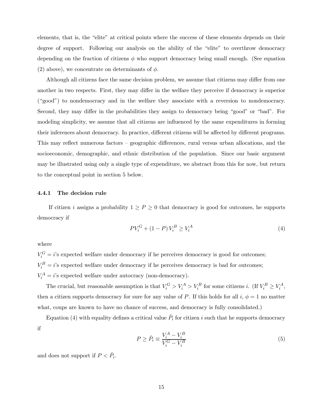elements, that is, the "elite" at critical points where the success of these elements depends on their degree of support. Following our analysis on the ability of the "elite" to overthrow democracy depending on the fraction of citizens  $\phi$  who support democracy being small enough. (See equation (2) above), we concentrate on determinants of  $\phi$ .

Although all citizens face the same decision problem, we assume that citizens may differ from one another in two respects. First, they may differ in the welfare they perceive if democracy is superior ("good") to nondemocracy and in the welfare they associate with a reversion to nondemocracy. Second, they may differ in the probabilities they assign to democracy being "good" or "bad". For modeling simplicity, we assume that all citizens are influenced by the same expenditures in forming their inferences about democracy. In practice, different citizens will be affected by different programs. This may reflect numerous factors — geographic differences, rural versus urban allocations, and the socioeconomic, demographic, and ethnic distribution of the population. Since our basic argument may be illustrated using only a single type of expenditure, we abstract from this for now, but return to the conceptual point in section 5 below.

#### 4.4.1 The decision rule

If citizen i assigns a probability  $1 \ge P \ge 0$  that democracy is good for outcomes, he supports democracy if

$$
PV_i^G + (1 - P)V_i^B \ge V_i^A
$$
 (4)

where

 $V_i^G = i$ 's expected welfare under democracy if he perceives democracy is good for outcomes;  $V_i^B = i$ 's expected welfare under democracy if he perceives democracy is bad for outcomes;  $V_i^A = i$ 's expected welfare under autocracy (non-democracy).

The crucial, but reasonable assumption is that  $V_i^G > V_i^A > V_i^B$  for some citizens *i*. (If  $V_i^B \ge V_i^A$ , then a citizen supports democracy for sure for any value of P. If this holds for all  $i, \phi = 1$  no matter what, coups are known to have no chance of success, and democracy is fully consolidated.)

Equation (4) with equality defines a critical value  $P_i$  for citizen i such that he supports democracy if

$$
P \ge \hat{P}_i \equiv \frac{V_i^A - V_i^B}{V_i^G - V_i^B} \tag{5}
$$

and does not support if  $P < \hat{P}_i$ .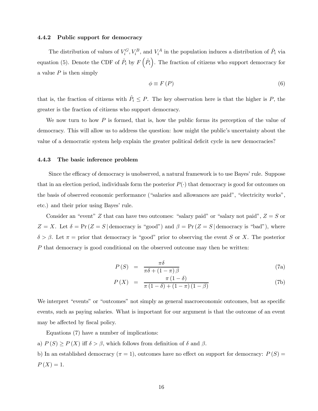### 4.4.2 Public support for democracy

The distribution of values of  $V_i^G$ ,  $V_i^B$ , and  $V_i^A$  in the population induces a distribution of  $\hat{P}_i$  via equation (5). Denote the CDF of  $\hat{P}_i$  by  $F(\hat{P}_i)$ . The fraction of citizens who support democracy for a value  $P$  is then simply

$$
\phi \equiv F(P) \tag{6}
$$

that is, the fraction of citizens with  $\hat{P}_i \leq P$ . The key observation here is that the higher is P, the greater is the fraction of citizens who support democracy.

We now turn to how  $P$  is formed, that is, how the public forms its perception of the value of democracy. This will allow us to address the question: how might the public's uncertainty about the value of a democratic system help explain the greater political deficit cycle in new democracies?

#### 4.4.3 The basic inference problem

Since the efficacy of democracy is unobserved, a natural framework is to use Bayes' rule. Suppose that in an election period, individuals form the posterior  $P(\cdot)$  that democracy is good for outcomes on the basis of observed economic performance ("salaries and allowances are paid", "electricity works", etc.) and their prior using Bayes' rule.

Consider an "event" Z that can have two outcomes: "salary paid" or "salary not paid",  $Z = S$  or  $Z = X$ . Let  $\delta = \Pr(Z = S \mid \text{demoracy is "good")}$  and  $\beta = \Pr(Z = S \mid \text{demoracy is "bad")}$ , where  $\delta > \beta$ . Let  $\pi =$  prior that democracy is "good" prior to observing the event S or X. The posterior P that democracy is good conditional on the observed outcome may then be written:

$$
P(S) = \frac{\pi \delta}{\pi \delta + (1 - \pi)\beta} \tag{7a}
$$

$$
P(X) = \frac{\pi (1 - \delta)}{\pi (1 - \delta) + (1 - \pi) (1 - \beta)}
$$
(7b)

We interpret "events" or "outcomes" not simply as general macroeconomic outcomes, but as specific events, such as paying salaries. What is important for our argument is that the outcome of an event may be affected by fiscal policy.

Equations (7) have a number of implications:

a)  $P(S) \ge P(X)$  iff  $\delta > \beta$ , which follows from definition of  $\delta$  and  $\beta$ .

b) In an established democracy ( $\pi = 1$ ), outcomes have no effect on support for democracy:  $P(S) =$  $P(X)=1.$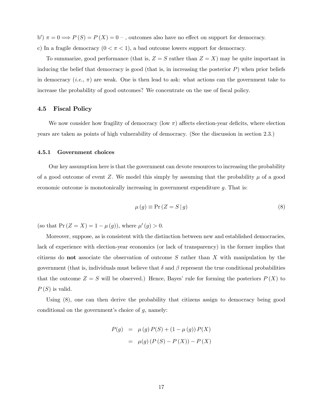b')  $\pi = 0 \Longrightarrow P(S) = P(X) = 0$ , outcomes also have no effect on support for democracy. c) In a fragile democracy  $(0 < \pi < 1)$ , a bad outcome lowers support for democracy.

To summarize, good performance (that is,  $Z = S$  rather than  $Z = X$ ) may be quite important in inducing the belief that democracy is good (that is, in increasing the posterior  $P$ ) when prior beliefs in democracy (*i.e.*,  $\pi$ ) are weak. One is then lead to ask: what actions can the government take to increase the probability of good outcomes? We concentrate on the use of fiscal policy.

## 4.5 Fiscal Policy

We now consider how fragility of democracy (low  $\pi$ ) affects election-year deficits, where election years are taken as points of high vulnerability of democracy. (See the discussion in section 2.3.)

#### 4.5.1 Government choices

Our key assumption here is that the government can devote resources to increasing the probability of a good outcome of event Z. We model this simply by assuming that the probability  $\mu$  of a good economic outcome is monotonically increasing in government expenditure  $g$ . That is:

$$
\mu(g) \equiv \Pr\left(Z = S \,|\, g\right) \tag{8}
$$

(so that  $Pr(Z = X) = 1 - \mu(g)$ ), where  $\mu'(g) > 0$ .

Moreover, suppose, as is consistent with the distinction between new and established democracies, lack of experience with election-year economics (or lack of transparency) in the former implies that citizens do **not** associate the observation of outcome  $S$  rather than  $X$  with manipulation by the government (that is, individuals must believe that  $\delta$  and  $\beta$  represent the true conditional probabilities that the outcome  $Z = S$  will be observed.) Hence, Bayes' rule for forming the posteriors  $P(X)$  to  $P(S)$  is valid.

Using (8), one can then derive the probability that citizens assign to democracy being good conditional on the government's choice of  $g$ , namely:

$$
P(g) = \mu(g) P(S) + (1 - \mu(g)) P(X)
$$
  
=  $\mu(g) (P(S) - P(X)) - P(X)$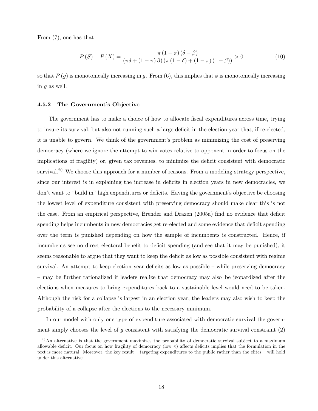From (7), one has that

$$
P(S) - P(X) = \frac{\pi (1 - \pi) (\delta - \beta)}{(\pi \delta + (1 - \pi) \beta) (\pi (1 - \delta) + (1 - \pi) (1 - \beta))} > 0
$$
 (10)

so that  $P(g)$  is monotonically increasing in g. From (6), this implies that  $\phi$  is monotonically increasing in g as well.

#### 4.5.2 The Government's Objective

The government has to make a choice of how to allocate fiscal expenditures across time, trying to insure its survival, but also not running such a large deficit in the election year that, if re-elected, it is unable to govern. We think of the government's problem as minimizing the cost of preserving democracy (where we ignore the attempt to win votes relative to opponent in order to focus on the implications of fragility) or, given tax revenues, to minimize the deficit consistent with democratic survival.<sup>20</sup> We choose this approach for a number of reasons. From a modeling strategy perspective, since our interest is in explaining the increase in deficits in election years in new democracies, we don't want to "build in" high expenditures or deficits. Having the government's objective be choosing the lowest level of expenditure consistent with preserving democracy should make clear this is not the case. From an empirical perspective, Brender and Drazen (2005a) find no evidence that deficit spending helps incumbents in new democracies get re-elected and some evidence that deficit spending over the term is punished depending on how the sample of incumbents is constructed. Hence, if incumbents see no direct electoral benefit to deficit spending (and see that it may be punished), it seems reasonable to argue that they want to keep the deficit as low as possible consistent with regime survival. An attempt to keep election year deficits as low as possible — while preserving democracy — may be further rationalized if leaders realize that democracy may also be jeopardized after the elections when measures to bring expenditures back to a sustainable level would need to be taken. Although the risk for a collapse is largest in an election year, the leaders may also wish to keep the probability of a collapse after the elections to the necessary minimum.

In our model with only one type of expenditure associated with democratic survival the government simply chooses the level of q consistent with satisfying the democratic survival constraint  $(2)$ 

<sup>&</sup>lt;sup>20</sup>An alternative is that the government maximizes the probability of democratic survival subject to a maximum allowable deficit. Our focus on how fragility of democracy (low  $\pi$ ) affects deficits implies that the formulation in the text is more natural. Moreover, the key result — targeting expenditures to the public rather than the elites — will hold under this alternative.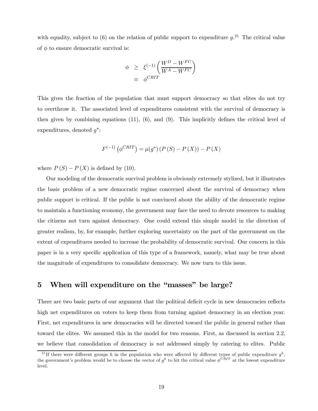with equality, subject to (6) on the relation of public support to expenditure  $g^{(2)}$ . The critical value of  $\phi$  to ensure democratic survival is:

$$
\begin{array}{rcl} \phi & \geq & \xi^{(-1)} \left( \frac{W^D - W^{FC}}{W^A - W^{FC}} \right) \\ & \equiv & \phi^{CRIT} \end{array}
$$

This gives the fraction of the population that must support democracy so that elites do not try to overthrow it. The associated level of expenditures consistent with the survival of democracy is then given by combining equations  $(11)$ ,  $(6)$ , and  $(9)$ . This implicitly defines the critical level of expenditures, denoted  $q^*$ :

$$
F^{(-1)}(\phi^{CRIT}) = \mu(g^*) (P(S) - P(X)) - P(X)
$$

where  $P(S) - P(X)$  is defined by (10).

Our modeling of the democratic survival problem is obviously extremely stylized, but it illustrates the basic problem of a new democratic regime concerned about the survival of democracy when public support is critical. If the public is not convinced about the ability of the democratic regime to maintain a functioning economy, the government may face the need to devote resources to making the citizens not turn against democracy. One could extend this simple model in the direction of greater realism, by, for example, further exploring uncertainty on the part of the government on the extent of expenditures needed to increase the probability of democratic survival. Our concern in this paper is in a very specific application of this type of a framework, namely, what may be true about the magnitude of expenditures to consolidate democracy. We now turn to this issue.

## 5 When will expenditure on the "masses" be large?

There are two basic parts of our argument that the political deficit cycle in new democracies reflects high net expenditures on voters to keep them from turning against democracy in an election year. First, net expenditures in new democracies will be directed toward the public in general rather than toward the elites. We assumed this in the model for two reasons. First, as discussed in section 2.2, we believe that consolidation of democracy is not addressed simply by catering to elites. Public

<sup>&</sup>lt;sup>21</sup>If there were different groups h in the population who were affected by different types of public expenditure  $g^h$ , the government's problem would be to choose the vector of  $g^h$  to hit the critical value  $\phi^{CRIT}$  at the lowest expenditure level.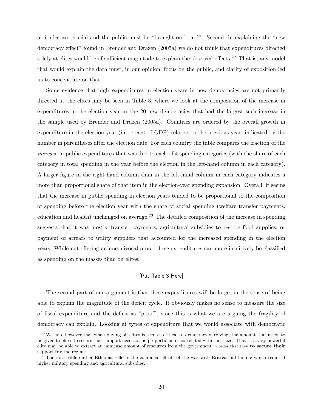attitudes are crucial and the public must be "brought on board". Second, in explaining the "new democracy effect" found in Brender and Drazen (2005a) we do not think that expenditures directed solely at elites would be of sufficient magnitude to explain the observed effects.<sup>22</sup> That is, any model that would explain the data must, in our opinion, focus on the public, and clarity of exposition led us to concentrate on that.

Some evidence that high expenditures in election years in new democracies are not primarily directed at the elites may be seen in Table 3, where we look at the composition of the increase in expenditures in the election year in the 20 new democracies that had the largest such increase in the sample used by Brender and Drazen (2005a). Countries are ordered by the overall growth in expenditure in the election year (in percent of GDP) relative to the previous year, indicated by the number in parentheses after the election date. For each country the table compares the fraction of the increase in public expenditures that was due to each of 4 spending categories (with the share of each category in total spending in the year before the election in the left-hand column in each category). A larger figure in the right-hand column than in the left-hand column in each category indicates a more than proportional share of that item in the election-year spending expansion. Overall, it seems that the increase in public spending in election years tended to be proportional to the composition of spending before the election year with the share of social spending (welfare transfer payments, education and health) unchanged on average.<sup>23</sup> The detailed composition of the increase in spending suggests that it was mostly transfer payments, agricultural subsidies to restore food supplies, or payment of arrears to utility suppliers that accounted for the increased spending in the election years. While not offering an unequivocal proof, these expenditures can more intuitively be classified as spending on the masses than on elites.

## [Put Table 3 Here]

The second part of our argument is that these expenditures will be large, in the sense of being able to explain the magnitude of the deficit cycle. It obviously makes no sense to measure the size of fiscal expenditure and the deficit as "proof", since this is what we are arguing the fragility of democracy can explain. Looking at types of expenditure that we would associate with democratic

 $22$  We note however that when buying off elites is seen as critical to democracy surviving, the amount that needs to be given to elites to secure their support need not be proportional or correlated with their size. That is, a very powerful elite may be able to extract an immense amount of resources from the government in order that they to secure their support for the regime.

 $^{23}$ The noticeable outlier Ethiopia reflects the combined effects of the war with Eritrea and famine which required higher military spending and agricultural subsidies.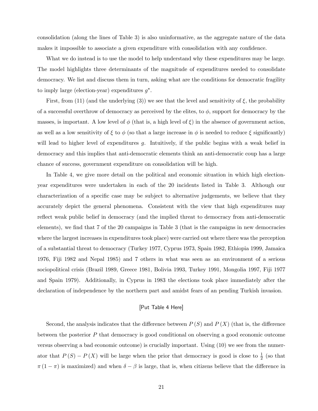consolidation (along the lines of Table 3) is also uninformative, as the aggregate nature of the data makes it impossible to associate a given expenditure with consolidation with any confidence.

What we do instead is to use the model to help understand why these expenditures may be large. The model highlights three determinants of the magnitude of expenditures needed to consolidate democracy. We list and discuss them in turn, asking what are the conditions for democratic fragility to imply large (election-year) expenditures  $g^*$ .

First, from (11) (and the underlying (3)) we see that the level and sensitivity of  $\xi$ , the probability of a successful overthrow of democracy as perceived by the elites, to  $\phi$ , support for democracy by the masses, is important. A low level of  $\phi$  (that is, a high level of  $\xi$ ) in the absence of government action, as well as a low sensitivity of  $\xi$  to  $\phi$  (so that a large increase in  $\phi$  is needed to reduce  $\xi$  significantly) will lead to higher level of expenditures g. Intuitively, if the public begins with a weak belief in democracy and this implies that anti-democratic elements think an anti-democratic coup has a large chance of success, government expenditure on consolidation will be high.

In Table 4, we give more detail on the political and economic situation in which high electionyear expenditures were undertaken in each of the 20 incidents listed in Table 3. Although our characterization of a specific case may be subject to alternative judgements, we believe that they accurately depict the general phenomena. Consistent with the view that high expenditures may reflect weak public belief in democracy (and the implied threat to democracy from anti-democratic elements), we find that 7 of the 20 campaigns in Table 3 (that is the campaigns in new democracies where the largest increases in expenditures took place) were carried out where there was the perception of a substantial threat to democracy (Turkey 1977, Cyprus 1973, Spain 1982, Ethiopia 1999, Jamaica 1976, Fiji 1982 and Nepal 1985) and 7 others in what was seen as an environment of a serious sociopolitical crisis (Brazil 1989, Greece 1981, Bolivia 1993, Turkey 1991, Mongolia 1997, Fiji 1977 and Spain 1979). Additionally, in Cyprus in 1983 the elections took place immediately after the declaration of independence by the northern part and amidst fears of an pending Turkish invasion.

## [Put Table 4 Here]

Second, the analysis indicates that the difference between  $P(S)$  and  $P(X)$  (that is, the difference between the posterior P that democracy is good conditional on observing a good economic outcome versus observing a bad economic outcome) is crucially important. Using (10) we see from the numerator that  $P(S) - P(X)$  will be large when the prior that democracy is good is close to  $\frac{1}{2}$  (so that  $\pi (1 - \pi)$  is maximized) and when  $\delta - \beta$  is large, that is, when citizens believe that the difference in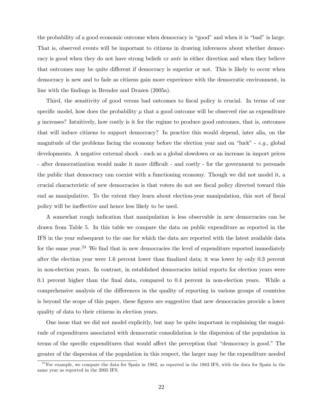the probability of a good economic outcome when democracy is "good" and when it is "bad" is large. That is, observed events will be important to citizens in drawing inferences about whether democracy is good when they do not have strong beliefs *ex ante* in either direction and when they believe that outcomes may be quite different if democracy is superior or not. This is likely to occur when democracy is new and to fade as citizens gain more experience with the democratic environment, in line with the findings in Brender and Drazen (2005a).

Third, the sensitivity of good versus bad outcomes to fiscal policy is crucial. In terms of our specific model, how does the probability  $\mu$  that a good outcome will be observed rise as expenditure g increases? Intuitively, how costly is it for the regime to produce good outcomes, that is, outcomes that will induce citizens to support democracy? In practice this would depend, inter alia, on the magnitude of the problems facing the economy before the election year and on "luck" -  $e.g.,$  global developments. A negative external shock - such as a global slowdown or an increase in import prices - after democratization would make it more difficult - and costly - for the government to persuade the public that democracy can coexist with a functioning economy. Though we did not model it, a crucial characteristic of new democracies is that voters do not see fiscal policy directed toward this end as manipulative. To the extent they learn about election-year manipulation, this sort of fiscal policy will be ineffective and hence less likely to be used.

A somewhat rough indication that manipulation is less observable in new democracies can be drawn from Table 5. In this table we compare the data on public expenditure as reported in the IFS in the year subsequent to the one for which the data are reported with the latest available data for the same year.<sup>24</sup> We find that in new democracies the level of expenditure reported immediately after the election year were 1.6 percent lower than finalized data; it was lower by only 0.3 percent in non-election years. In contrast, in established democracies initial reports for election years were 0.1 percent higher than the final data, compared to 0.4 percent in non-election years. While a comprehensive analysis of the differences in the quality of reporting in various groups of countries is beyond the scope of this paper, these figures are suggestive that new democracies provide a lower quality of data to their citizens in election years.

One issue that we did not model explicitly, but may be quite important in explaining the magnitude of expenditures associated with democratic consolidation is the dispersion of the population in terms of the specific expenditures that would affect the perception that "democracy is good." The greater of the dispersion of the population in this respect, the larger may be the expenditure needed

 $24$  For example, we compare the data for Spain in 1982, as reported in the 1983 IFS, with the data for Spain in the same year as reported in the 2005 IFS.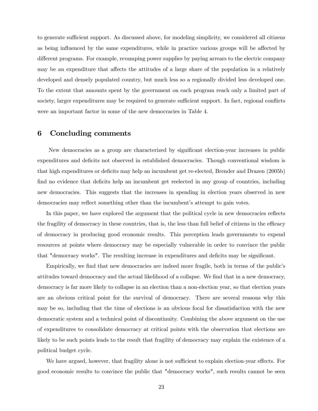to generate sufficient support. As discussed above, for modeling simplicity, we considered all citizens as being influenced by the same expenditures, while in practice various groups will be affected by different programs. For example, revamping power supplies by paying arrears to the electric company may be an expenditure that affects the attitudes of a large share of the population in a relatively developed and densely populated country, but much less so a regionally divided less developed one. To the extent that amounts spent by the government on each program reach only a limited part of society, larger expenditures may be required to generate sufficient support. In fact, regional conflicts were an important factor in some of the new democracies in Table 4.

## 6 Concluding comments

New democracies as a group are characterized by significant election-year increases in public expenditures and deficits not observed in established democracies. Though conventional wisdom is that high expenditures or deficits may help an incumbent get re-elected, Brender and Drazen (2005b) find no evidence that deficits help an incumbent get reelected in any group of countries, including new democracies. This suggests that the increases in spending in election years observed in new democracies may reflect something other than the incumbent's attempt to gain votes.

In this paper, we have explored the argument that the political cycle in new democracies reflects the fragility of democracy in these countries, that is, the less than full belief of citizens in the efficacy of democracy in producing good economic results. This perception leads governments to expend resources at points where democracy may be especially vulnerable in order to convince the public that "democracy works". The resulting increase in expenditures and deficits may be significant.

Empirically, we find that new democracies are indeed more fragile, both in terms of the public's attitudes toward democracy and the actual likelihood of a collapse. We find that in a new democracy, democracy is far more likely to collapse in an election than a non-election year, so that election years are an obvious critical point for the survival of democracy. There are several reasons why this may be so, including that the time of elections is an obvious focal for dissatisfaction with the new democratic system and a technical point of discontinuity. Combining the above argument on the use of expenditures to consolidate democracy at critical points with the observation that elections are likely to be such points leads to the result that fragility of democracy may explain the existence of a political budget cycle.

We have argued, however, that fragility alone is not sufficient to explain election-year effects. For good economic results to convince the public that "democracy works", such results cannot be seen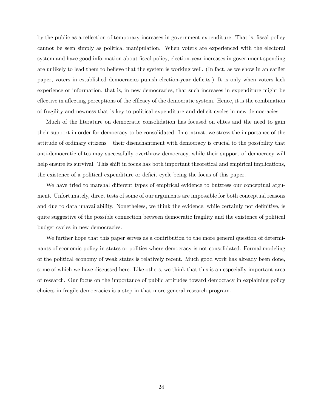by the public as a reflection of temporary increases in government expenditure. That is, fiscal policy cannot be seen simply as political manipulation. When voters are experienced with the electoral system and have good information about fiscal policy, election-year increases in government spending are unlikely to lead them to believe that the system is working well. (In fact, as we show in an earlier paper, voters in established democracies punish election-year deficits.) It is only when voters lack experience or information, that is, in new democracies, that such increases in expenditure might be effective in affecting perceptions of the efficacy of the democratic system. Hence, it is the combination of fragility and newness that is key to political expenditure and deficit cycles in new democracies.

Much of the literature on democratic consolidation has focused on elites and the need to gain their support in order for democracy to be consolidated. In contrast, we stress the importance of the attitude of ordinary citizens — their disenchantment with democracy is crucial to the possibility that anti-democratic elites may successfully overthrow democracy, while their support of democracy will help ensure its survival. This shift in focus has both important theoretical and empirical implications, the existence of a political expenditure or deficit cycle being the focus of this paper.

We have tried to marshal different types of empirical evidence to buttress our conceptual argument. Unfortunately, direct tests of some of our arguments are impossible for both conceptual reasons and due to data unavailability. Nonetheless, we think the evidence, while certainly not definitive, is quite suggestive of the possible connection between democratic fragility and the existence of political budget cycles in new democracies.

We further hope that this paper serves as a contribution to the more general question of determinants of economic policy in states or polities where democracy is not consolidated. Formal modeling of the political economy of weak states is relatively recent. Much good work has already been done, some of which we have discussed here. Like others, we think that this is an especially important area of research. Our focus on the importance of public attitudes toward democracy in explaining policy choices in fragile democracies is a step in that more general research program.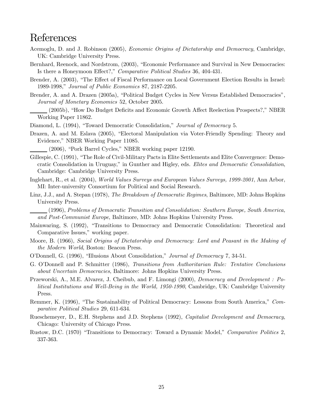# References

- Acemoglu, D. and J. Robinson (2005), Economic Origins of Dictatorship and Democracy, Cambridge, UK: Cambridge University Press.
- Bernhard, Reenock, and Nordstrom, (2003), "Economic Performance and Survival in New Democracies: Is there a Honeymoon Effect?," Comparative Political Studies 36, 404-431.
- Brender, A. (2003), "The Effect of Fiscal Performance on Local Government Election Results in Israel: 1989-1998," Journal of Public Economics 87, 2187-2205.
- Brender, A. and A. Drazen (2005a), "Political Budget Cycles in New Versus Established Democracies", Journal of Monetary Economics 52, October 2005.

(2005b), "How Do Budget Deficits and Economic Growth Affect Reelection Prospects?," NBER Working Paper 11862.

- Diamond, L. (1994), "Toward Democratic Consolidation," Journal of Democracy 5.
- Drazen, A. and M. Eslava (2005), "Electoral Manipulation via Voter-Friendly Spending: Theory and Evidence," NBER Working Paper 11085.

(2006), "Pork Barrel Cycles," NBER working paper 12190.

Gillespie, C. (1991), "The Role of Civil-Military Pacts in Elite Settlements and Elite Convergence: Democratic Consolidation in Uruguay," in Gunther and Higley, eds. Elites and Democratic Consolidation, Cambridge: Cambridge University Press.

Inglehart, R., et al. (2004), World Values Surveys and European Values Surveys, 1999-2001, Ann Arbor, MI: Inter-university Consortium for Political and Social Research.

Linz, J.J., and A. Stepan (1978), The Breakdown of Democratic Regimes, Baltimore, MD: Johns Hopkins University Press.

(1996), Problems of Democratic Transition and Consolidation: Southern Europe, South America, and Post-Communist Europe, Baltimore, MD: Johns Hopkins University Press.

- Mainwaring, S. (1992), "Transitions to Democracy and Democratic Consolidation: Theoretical and Comparative Issues," working paper.
- Moore, B. (1966), Social Origins of Dictatorship and Democracy: Lord and Peasant in the Making of the Modern World, Boston: Beacon Press.
- O'Donnell, G. (1996), "Illusions About Consolidation," Journal of Democracy 7, 34-51.
- G. O'Donnell and P. Schmitter (1986), Transitions from Authoritarian Rule: Tentative Conclusions about Uncertain Democracies, Baltimore: Johns Hopkins University Press.
- Przeworski, A., M.E. Alvarez, J. Cheibub, and F. Limongi (2000), Democracy and Development : Political Institutions and Well-Being in the World, 1950-1990, Cambridge, UK: Cambridge University Press.
- Remmer, K. (1996), "The Sustainability of Political Democracy: Lessons from South America," Comparative Political Studies 29, 611-634.
- Rueschemeyer, D., E.H. Stephens and J.D. Stephens (1992), Capitalist Development and Democracy, Chicago: University of Chicago Press.
- Rustow, D.C. (1970) "Transitions to Democracy: Toward a Dynamic Model," Comparative Politics 2, 337-363.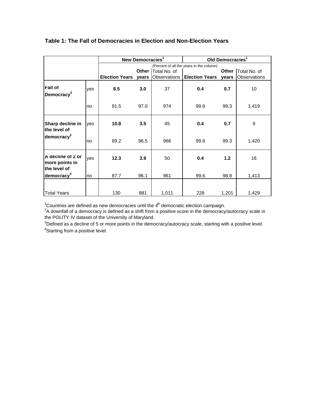|                                                     |     | New Democracies <sup>1</sup> |       |              | Old Democracies <sup>1</sup>             |       |                             |  |
|-----------------------------------------------------|-----|------------------------------|-------|--------------|------------------------------------------|-------|-----------------------------|--|
|                                                     |     |                              |       |              | (Percent of all the years in the column) |       |                             |  |
|                                                     |     |                              | Other | Total No. of |                                          |       | <b>Other   Total No. of</b> |  |
|                                                     |     | <b>Election Years</b>        | years |              | Observations   Election Years years      |       | Observations                |  |
| <b>Fall of</b><br>Democracy <sup>2</sup>            | yes | 8.5                          | 3.0   | 37           | 0.4                                      | 0.7   | 10                          |  |
|                                                     | no  | 91.5                         | 97.0  | 974          | 99.6                                     | 99.3  | 1,419                       |  |
| Sharp decline in<br>the level of                    | yes | 10.8                         | 3.5   | 45           | 0.4                                      | 0.7   | 9                           |  |
| democracy <sup>3</sup>                              | no  | 89.2                         | 96.5  | 966          | 99.6                                     | 99.3  | 1,420                       |  |
| A decline of 2 or<br>more points in<br>the level of | ves | 12.3                         | 3.9   | 50           | 0.4                                      | 1.2   | 16                          |  |
| democracy <sup>4</sup>                              | no  | 87.7                         | 96.1  | 961          | 99.6                                     | 98.8  | 1,413                       |  |
| <b>Total Years</b>                                  |     | 130                          | 881   | 1,011        | 228                                      | 1,201 | 1,429                       |  |

## **Table 1: The Fall of Democracies in Election and Non-Election Years**

<sup>1</sup>Countries are defined as new democracies until the  $4<sup>th</sup>$  democratic election campaign.

 $2A$  downfall of a democracy is defined as a shift from a positive score in the democracy/autocracy scale in the POLITY IV dataset of the University of Maryland.

 $3$ Defined as a decline of 5 or more points in the democracy/autocracy scale, starting with a positive level. <sup>4</sup>Starting from a positive level.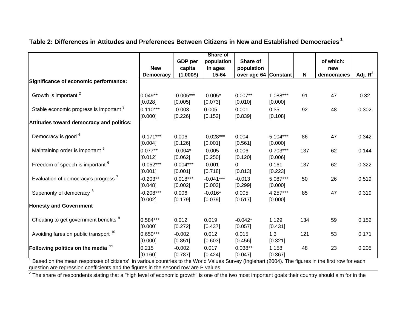|                                                                                                                                                        |                  |             | Share of    |                      |            |     |             |            |
|--------------------------------------------------------------------------------------------------------------------------------------------------------|------------------|-------------|-------------|----------------------|------------|-----|-------------|------------|
|                                                                                                                                                        |                  | GDP per     | population  | Share of             |            |     | of which:   |            |
|                                                                                                                                                        | <b>New</b>       | capita      | in ages     | population           |            |     | new         |            |
|                                                                                                                                                        | <b>Democracy</b> | $(1,000\$   | 15-64       | over age 64 Constant |            | N   | democracies | Adj. $R^2$ |
| Significance of economic performance:                                                                                                                  |                  |             |             |                      |            |     |             |            |
| Growth is important <sup>2</sup>                                                                                                                       | $0.049**$        | $-0.005***$ | $-0.005*$   | $0.007**$            | 1.088***   | 91  | 47          | 0.32       |
|                                                                                                                                                        | [0.028]          | [0.005]     | [0.073]     | [0.010]              | [0.000]    |     |             |            |
| Stable economic progress is important <sup>3</sup>                                                                                                     | $0.110***$       | $-0.003$    | 0.005       | 0.001                | 0.35       | 92  | 48          | 0.302      |
|                                                                                                                                                        | [0.000]          | [0.226]     | [0.152]     | [0.839]              | [0.108]    |     |             |            |
| Attitudes toward democracy and politics:                                                                                                               |                  |             |             |                      |            |     |             |            |
| Democracy is good <sup>4</sup>                                                                                                                         | $-0.171***$      | 0.006       | $-0.028***$ | 0.004                | $5.104***$ | 86  | 47          | 0.342      |
|                                                                                                                                                        | [0.004]          | [0.126]     | [0.001]     | [0.561]              | [0.000]    |     |             |            |
| Maintaining order is important <sup>5</sup>                                                                                                            | $0.077**$        | $-0.004*$   | $-0.005$    | 0.006                | $0.703***$ | 137 | 62          | 0.144      |
|                                                                                                                                                        | [0.012]          | [0.062]     | [0.250]     | [0.120]              | [0.006]    |     |             |            |
| Freedom of speech is important <sup>6</sup>                                                                                                            | $-0.052***$      | $0.004***$  | $-0.001$    | 0                    | 0.161      | 137 | 62          | 0.322      |
|                                                                                                                                                        | [0.001]          | [0.001]     | [0.718]     | [0.813]              | [0.223]    |     |             |            |
| Evaluation of democracy's progress <sup>7</sup>                                                                                                        | $-0.203**$       | $0.018***$  | $-0.041***$ | $-0.013$             | 5.087***   | 50  | 26          | 0.519      |
|                                                                                                                                                        | [0.048]          | [0.002]     | [0.003]     | [0.299]              | [0.000]    |     |             |            |
| Superiority of democracy <sup>8</sup>                                                                                                                  | $-0.208***$      | 0.006       | $-0.016*$   | 0.005                | 4.257***   | 85  | 47          | 0.319      |
|                                                                                                                                                        | [0.002]          | [0.179]     | [0.079]     | [0.517]              | [0.000]    |     |             |            |
| <b>Honesty and Government</b>                                                                                                                          |                  |             |             |                      |            |     |             |            |
| Cheating to get government benefits 9                                                                                                                  | $0.584***$       | 0.012       | 0.019       | $-0.042*$            | 1.129      | 134 | 59          | 0.152      |
|                                                                                                                                                        | [0.000]          | [0.272]     | [0.437]     | [0.057]              | [0.431]    |     |             |            |
| Avoiding fares on public transport <sup>10</sup>                                                                                                       | $0.650***$       | $-0.002$    | 0.012       | 0.015                | 1.3        | 121 | 53          | 0.171      |
|                                                                                                                                                        | [0.000]          | [0.851]     | [0.603]     | [0.456]              | [0.321]    |     |             |            |
| <b>Following politics on the media <math>^{11}</math></b>                                                                                              | 0.215            | $-0.002$    | 0.017       | $0.038**$            | 1.158      | 48  | 23          | 0.205      |
| $^1$ Based on the mean responses of citizens' in various countries to the World Values Survey (Inglebart (2004). The figures in the first row for each | [0.160]          | [0.787]     | [0.424]     | [0.047]              | [0.367]    |     |             |            |

## **Table 2: Differences in Attitudes and Preferences Between Citizens in New and Established Democracies 1**

1 Based on the mean responses of citizens' in various countries to the World Values Survey (Inglehart (2004). The figures in the first row for each question are regression coefficients and the figures in the second row are P values.

 $^2$  The share of respondents stating that a "high level of economic growth" is one of the two most important goals their country should aim for in the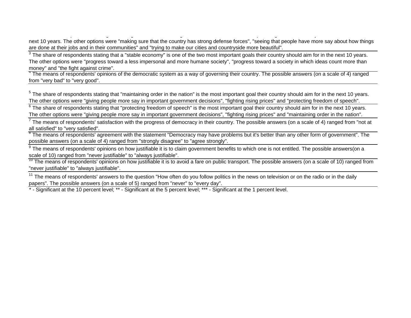next 10 years. The other options were "making sure that the country has strong defense forces", "seeing that people have more say about how things are done at their jobs and in their communities" and "trying to make our cities and countryside more beautiful".

 $3$  The share of respondents stating that a "stable economy" is one of the two most important goals their country should aim for in the next 10 years. The other options were "progress toward a less impersonal and more humane society", "progress toward a society in which ideas count more than money" and "the fight against crime".

p g g g pg y

<sup>4</sup> The means of respondents' opinions of the democratic system as a way of governing their country. The possible answers (on a scale of 4) ranged from "very bad" to "very good".

<sup>5</sup> The share of respondents stating that "maintaining order in the nation" is the most important goal their country should aim for in the next 10 years. The other options were "giving people more say in important government decisions", "fighting rising prices" and "protecting freedom of speech".

 $6$  The share of respondents stating that "protecting freedom of speech" is the most important goal their country should aim for in the next 10 years. The other options were "giving people more say in important government decisions", "fighting rising prices" and "maintaining order in the nation".

 $<sup>7</sup>$  The means of respondents' satisfaction with the progress of democracy in their country. The possible answers (on a scale of 4) ranged from "not at</sup> all satisfied" to "very satisfied".

<sup>8</sup> The means of respondents' agreement with the statement "Democracy may have problems but it's better than any other form of government". The possible answers (on a scale of 4) ranged from "strongly disagree" to "agree strongly".

 $9$  The means of respondents' opinions on how justifiable it is to claim government benefits to which one is not entitled. The possible answers(on a scale of 10) ranged from "never justifiable" to "always justifiable".

 $10$  The means of respondents' opinions on how justifiable it is to avoid a fare on public transport. The possible answers (on a scale of 10) ranged from "never justifiable" to "always justifiable".

<sup>11</sup> The means of respondents' answers to the question "How often do you follow politics in the news on television or on the radio or in the daily papers". The possible answers (on a scale of 5) ranged from "never" to "every day".

\* - Significant at the 10 percent level; \*\* - Significant at the 5 percent level; \*\*\* - Significant at the 1 percent level.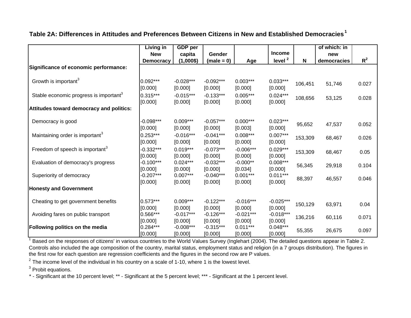**Table 2A: Differences in Attitudes and Preferences Between Citizens in New and Established Democracies<sup>1</sup>**

|                                                    | Living in              | <b>GDP</b> per        |                        |                       |                       |         | of which: in |       |
|----------------------------------------------------|------------------------|-----------------------|------------------------|-----------------------|-----------------------|---------|--------------|-------|
|                                                    | <b>New</b>             | capita                | <b>Gender</b>          |                       | <b>Income</b>         |         | new          |       |
|                                                    | <b>Democracy</b>       | $(1,000\$             | $(male = 0)$           | Age                   | level <sup>2</sup>    | N       | democracies  | $R^2$ |
| Significance of economic performance:              |                        |                       |                        |                       |                       |         |              |       |
|                                                    |                        |                       |                        |                       |                       |         |              |       |
| Growth is important <sup>3</sup>                   | $0.092***$             | $-0.028***$           | $-0.092***$            | $0.003***$            | $0.033***$            | 106,451 | 51,746       | 0.027 |
|                                                    | [0.000]                | [0.000]               | [0.000]                | [0.000]               | [0.000]               |         |              |       |
| Stable economic progress is important <sup>3</sup> | $0.315***$             | $-0.015***$           | $-0.133***$            | $0.005***$            | $0.024***$            | 108,656 | 53,125       | 0.028 |
|                                                    | [0.000]                | [0.000]               | [0.000]                | [0.000]               | [0.000]               |         |              |       |
| Attitudes toward democracy and politics:           |                        |                       |                        |                       |                       |         |              |       |
|                                                    |                        |                       |                        |                       |                       |         |              |       |
| Democracy is good                                  | $-0.098***$            | $0.009***$            | $-0.057***$            | $0.000***$            | $0.023***$            | 95,652  | 47,537       | 0.052 |
|                                                    | [0.000]                | [0.000]               | [0.000]                | [0.003]               | [0.000]               |         |              |       |
| Maintaining order is important <sup>3</sup>        | $0.253***$             | $-0.016***$           | $-0.041***$            | $0.008***$            | $0.007***$            | 153,309 | 68,467       | 0.026 |
|                                                    | [0.000]                | [0.000]               | [0.000]                | [0.000]               | [0.000]               |         |              |       |
| Freedom of speech is important <sup>3</sup>        | $-0.332***$            | $0.019***$            | $-0.073***$            | $-0.006***$           | $0.029***$            | 153,309 | 68,467       | 0.05  |
|                                                    | [0.000]                | [0.000]               | [0.000]                | [0.000]               | [0.000]               |         |              |       |
| Evaluation of democracy's progress                 | $-0.100***$            | $0.024***$            | $-0.032***$            | $-0.000**$            | $0.008***$            | 56,345  | 29,918       | 0.104 |
|                                                    | [0.000]<br>$-0.207***$ | [0.000]<br>$0.007***$ | [0.000]<br>$-0.040***$ | [0.034]<br>$0.001***$ | [0.000]<br>$0.011***$ |         |              |       |
| Superiority of democracy                           | [0.000]                | [0.000]               | [0.000]                | [0.000]               | [0.000]               | 88,397  | 46,557       | 0.046 |
| <b>Honesty and Government</b>                      |                        |                       |                        |                       |                       |         |              |       |
|                                                    |                        |                       |                        |                       |                       |         |              |       |
| Cheating to get government benefits                | $0.573***$             | $0.009***$            | $-0.122***$            | $-0.016***$           | $-0.025***$           |         |              |       |
|                                                    | [0.000]                | [0.000]               | [0.000]                | [0.000]               | [0.000]               | 150,129 | 63,971       | 0.04  |
| Avoiding fares on public transport                 | $0.566***$             | $-0.017***$           | $-0.126***$            | $-0.021***$           | $-0.018***$           |         |              |       |
|                                                    | [0.000]                | [0.000]               | [0.000]                | [0.000]               | [0.000]               | 136,216 | 60,116       | 0.071 |
| <b>Following politics on the media</b>             | $0.284***$             | $-0.008***$           | $-0.315***$            | $0.011***$            | $0.048***$            | 55,355  | 26,675       | 0.097 |
|                                                    | [0.000]                | [0.000]               | [0.000]                | [0.000]               | [0.000]               |         |              |       |

<sup>1</sup> Based on the responses of citizens' in various countries to the World Values Survey (Inglehart (2004). The detailed questions appear in Table 2. Controls also included the age composition of the country, marital status, employment status and religion (in a 7 groups distribution). The figures in the first row for each question are regression coefficients and the figures in the second row are P values.

 $2$  The income level of the individual in his country on a scale of 1-10, where 1 is the lowest level.

<sup>3</sup> Probit equations.

\* - Significant at the 10 percent level; \*\* - Significant at the 5 percent level; \*\*\* - Significant at the 1 percent level.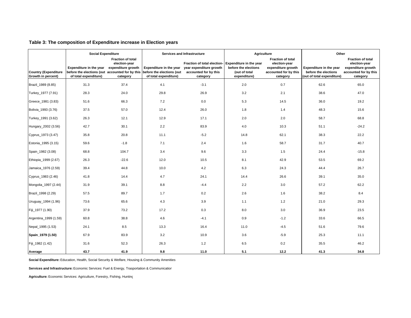|                                                   | <b>Social Expenditure</b>                                                                                              |                                                       |                                                                                      | <b>Services and Infrastructure</b>                                                          | Agriculture                                                                      |                                                                                                      | Other                                                                         |                                                                                                      |
|---------------------------------------------------|------------------------------------------------------------------------------------------------------------------------|-------------------------------------------------------|--------------------------------------------------------------------------------------|---------------------------------------------------------------------------------------------|----------------------------------------------------------------------------------|------------------------------------------------------------------------------------------------------|-------------------------------------------------------------------------------|------------------------------------------------------------------------------------------------------|
| <b>Country (Expenditure</b><br>Growth in percent) | Expenditure in the year expenditure growth<br>before the elections (out accounted for by this<br>of total expenditure) | <b>Fraction of total</b><br>election-year<br>category | <b>Expenditure in the year</b><br>before the elections (out<br>of total expenditure) | Fraction of total election-<br>year expenditure growth<br>accounted for by this<br>category | Expenditure in the year<br>before the elections<br>(out of total<br>expenditure) | <b>Fraction of total</b><br>election-year<br>expenditure growth<br>accounted for by this<br>category | Expenditure in the year<br>before the elections<br>(out of total expenditure) | <b>Fraction of total</b><br>election-year<br>expenditure growth<br>accounted for by this<br>category |
| Brazil_1989 (8.85)                                | 31.3                                                                                                                   | 37.4                                                  | 4.1                                                                                  | $-3.1$                                                                                      | 2.0                                                                              | 0.7                                                                                                  | 62.6                                                                          | 65.0                                                                                                 |
| Turkey_1977 (7.91)                                | 28.3                                                                                                                   | 24.0                                                  | 29.8                                                                                 | 26.9                                                                                        | 3.2                                                                              | 2.1                                                                                                  | 38.6                                                                          | 47.0                                                                                                 |
| Greece_1981 (3.83)                                | 51.6                                                                                                                   | 66.3                                                  | 7.2                                                                                  | 0.0                                                                                         | 5.3                                                                              | 14.5                                                                                                 | 36.0                                                                          | 19.2                                                                                                 |
| Bolivia_1993 (3.76)                               | 37.5                                                                                                                   | 57.0                                                  | 12.4                                                                                 | 26.0                                                                                        | 1.8                                                                              | 1.4                                                                                                  | 48.3                                                                          | 15.6                                                                                                 |
| Turkey_1991 (3.62)                                | 26.3                                                                                                                   | 12.1                                                  | 12.9                                                                                 | 17.1                                                                                        | 2.0                                                                              | 2.0                                                                                                  | 58.7                                                                          | 68.8                                                                                                 |
| Hungary_2002 (3.56)                               | 42.7                                                                                                                   | 30.1                                                  | 2.2                                                                                  | 83.9                                                                                        | 4.0                                                                              | 10.3                                                                                                 | 51.1                                                                          | $-24.2$                                                                                              |
| Cyprus_1973 (3.47)                                | 35.8                                                                                                                   | 20.8                                                  | 11.1                                                                                 | $-5.2$                                                                                      | 14.8                                                                             | 62.1                                                                                                 | 38.3                                                                          | 22.2                                                                                                 |
| Estonia_1995 (3.15)                               | 59.6                                                                                                                   | $-1.8$                                                | 7.1                                                                                  | 2.4                                                                                         | 1.6                                                                              | 58.7                                                                                                 | 31.7                                                                          | 40.7                                                                                                 |
| Spain_1982 (3.08)                                 | 68.8                                                                                                                   | 104.7                                                 | 3.4                                                                                  | 9.6                                                                                         | 3.3                                                                              | 1.5                                                                                                  | 24.4                                                                          | $-15.8$                                                                                              |
| Ethiopia_1999 (2.67)                              | 26.3                                                                                                                   | $-22.6$                                               | 12.0                                                                                 | 10.5                                                                                        | 8.1                                                                              | 42.9                                                                                                 | 53.5                                                                          | 69.2                                                                                                 |
| Jamaica_1976 (2.59)                               | 39.4                                                                                                                   | 44.8                                                  | 10.0                                                                                 | 4.2                                                                                         | 6.3                                                                              | 24.3                                                                                                 | 44.4                                                                          | 26.7                                                                                                 |
| Cyprus_1983 (2.46)                                | 41.8                                                                                                                   | 14.4                                                  | 4.7                                                                                  | 24.1                                                                                        | 14.4                                                                             | 26.6                                                                                                 | 39.1                                                                          | 35.0                                                                                                 |
| Mongolia_1997 (2.44)                              | 31.9                                                                                                                   | 39.1                                                  | 8.8                                                                                  | $-4.4$                                                                                      | 2.2                                                                              | 3.0                                                                                                  | 57.2                                                                          | 62.2                                                                                                 |
| Brazil_1998 (2.29)                                | 57.5                                                                                                                   | 89.7                                                  | 1.7                                                                                  | 0.2                                                                                         | 2.6                                                                              | 1.6                                                                                                  | 38.2                                                                          | 8.4                                                                                                  |
| Uruguay_1994 (1.96)                               | 73.6                                                                                                                   | 65.6                                                  | 4.3                                                                                  | 3.9                                                                                         | 1.1                                                                              | 1.2                                                                                                  | 21.0                                                                          | 29.3                                                                                                 |
| Fiji_1977 (1.90)                                  | 37.9                                                                                                                   | 73.2                                                  | 17.2                                                                                 | 0.3                                                                                         | 8.0                                                                              | 3.0                                                                                                  | 36.9                                                                          | 23.5                                                                                                 |
| Argentina_1999 (1.59)                             | 60.8                                                                                                                   | 38.8                                                  | 4.6                                                                                  | $-4.1$                                                                                      | 0.9                                                                              | $-1.2$                                                                                               | 33.6                                                                          | 66.5                                                                                                 |
| Nepal_1995 (1.53)                                 | 24.1                                                                                                                   | 8.5                                                   | 13.3                                                                                 | 16.4                                                                                        | 11.0                                                                             | $-4.5$                                                                                               | 51.6                                                                          | 79.6                                                                                                 |
| Spain_1979 (1.50)                                 | 67.9                                                                                                                   | 83.9                                                  | 3.2                                                                                  | 10.9                                                                                        | 3.6                                                                              | $-5.9$                                                                                               | 25.3                                                                          | 11.1                                                                                                 |
| Fiji_1982 (1.42)                                  | 31.6                                                                                                                   | 52.3                                                  | 26.3                                                                                 | 1.2                                                                                         | 6.5                                                                              | 0.2                                                                                                  | 35.5                                                                          | 46.2                                                                                                 |
| Average                                           | 43.7                                                                                                                   | 41.9                                                  | 9.8                                                                                  | 11.0                                                                                        | 5.1                                                                              | 12.2                                                                                                 | 41.3                                                                          | 34.8                                                                                                 |

## **Table 3: The composition of Expenditure increase in Election years**

**Social Expenditure:** Education, Health, Social Security & Welfare, Housing & Community Amenities

**Services and Infrastructure:** Economic Services: Fuel & Energy, Trasportation & Communication

**Agriculture:** Economic Services: Agriculture, Forestry, Fishing, Hunting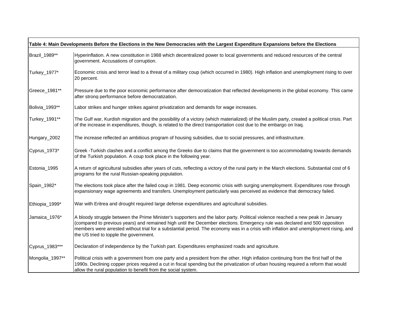|                 | Table 4: Main Developments Before the Elections in the New Democracies with the Largest Expenditure Expansions before the Elections                                                                                                                                                                                                                                                                                                               |
|-----------------|---------------------------------------------------------------------------------------------------------------------------------------------------------------------------------------------------------------------------------------------------------------------------------------------------------------------------------------------------------------------------------------------------------------------------------------------------|
| Brazil_1989**   | Hyperinflation. A new constitution in 1988 which decentralized power to local governments and reduced resources of the central<br>government. Accusations of corruption.                                                                                                                                                                                                                                                                          |
| Turkey_1977*    | Economic crisis and terror lead to a threat of a military coup (which occurred in 1980). High inflation and unemployment rising to over<br>20 percent.                                                                                                                                                                                                                                                                                            |
| Greece_1981**   | Pressure due to the poor economic performance after democratization that reflected developments in the global economy. This came<br>after strong performance before democratization.                                                                                                                                                                                                                                                              |
| Bolivia_1993**  | Labor strikes and hunger strikes against privatization and demands for wage increases.                                                                                                                                                                                                                                                                                                                                                            |
| Turkey_1991**   | The Gulf war, Kurdish migration and the possibility of a victory (which materialized) of the Muslim party, created a political crisis. Part<br>of the increase in expenditures, though, is related to the direct transportation cost due to the embargo on Iraq.                                                                                                                                                                                  |
| Hungary_2002    | The increase reflected an ambitious program of housing subsidies, due to social pressures, and infrastructure.                                                                                                                                                                                                                                                                                                                                    |
| Cyprus_1973*    | Greek -Turkish clashes and a conflict among the Greeks due to claims that the government is too accommodating towards demands<br>of the Turkish population. A coup took place in the following year.                                                                                                                                                                                                                                              |
| Estonia_1995    | A return of agricultural subsidies after years of cuts, reflecting a victory of the rural party in the March elections. Substantial cost of 6<br>programs for the rural Russian-speaking population.                                                                                                                                                                                                                                              |
| Spain_1982*     | The elections took place after the failed coup in 1981. Deep economic crisis with surging unemployment. Expenditures rose through<br>expansionary wage agreements and transfers. Unemployment particularly was perceived as evidence that democracy failed.                                                                                                                                                                                       |
| Ethiopia_1999*  | War with Eritrea and drought required large defense expenditures and agricultural subsidies.                                                                                                                                                                                                                                                                                                                                                      |
| Jamaica_1976*   | A bloody struggle between the Prime Minister's supporters and the labor party. Political violence reached a new peak in January<br>(compared to previous years) and remained high until the December elections. Emergency rule was declared and 500 opposition<br>members were arrested without trial for a substantial period. The economy was in a crisis with inflation and unemployment rising, and<br>the US tried to topple the government. |
| Cyprus_1983***  | Declaration of independence by the Turkish part. Expenditures emphasized roads and agriculture.                                                                                                                                                                                                                                                                                                                                                   |
| Mongolia_1997** | Political crisis with a government from one party and a president from the other. High inflation continuing from the first half of the<br>1990s. Declining copper prices required a cut in fiscal spending but the privatization of urban housing required a reform that would<br>allow the rural population to benefit from the social system.                                                                                                   |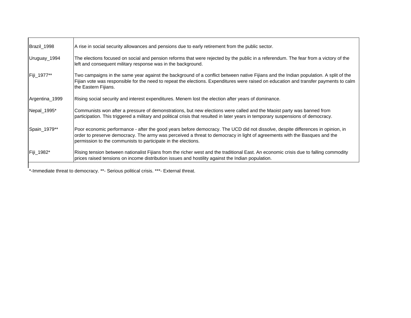| Brazil_1998    | A rise in social security allowances and pensions due to early retirement from the public sector.                                                                                                                                                                                                                             |
|----------------|-------------------------------------------------------------------------------------------------------------------------------------------------------------------------------------------------------------------------------------------------------------------------------------------------------------------------------|
| Uruguay_1994   | The elections focused on social and pension reforms that were rejected by the public in a referendum. The fear from a victory of the<br>left and consequent military response was in the background.                                                                                                                          |
| Fiji_1977**    | Two campaigns in the same year against the background of a conflict between native Fijians and the Indian population. A split of the<br>Fijian vote was responsible for the need to repeat the elections. Expenditures were raised on education and transfer payments to calm<br>the Eastern Fijians.                         |
| Argentina 1999 | Rising social security and interest expenditures. Menem lost the election after years of dominance.                                                                                                                                                                                                                           |
| Nepal_1995*    | Communists won after a pressure of demonstrations, but new elections were called and the Maoist party was banned from<br>participation. This triggered a military and political crisis that resulted in later years in temporary suspensions of democracy.                                                                    |
| Spain_1979**   | Poor economic performance - after the good years before democracy. The UCD did not dissolve, despite differences in opinion, in<br>order to preserve democracy. The army was perceived a threat to democracy in light of agreements with the Basques and the<br>permission to the communists to participate in the elections. |
| Fiji_1982*     | Rising tension between nationalist Fijians from the richer west and the traditional East. An economic crisis due to falling commodity<br>prices raised tensions on income distribution issues and hostility against the Indian population.                                                                                    |

\*-Immediate threat to democracy. \*\*- Serious political crisis. \*\*\*- External threat.